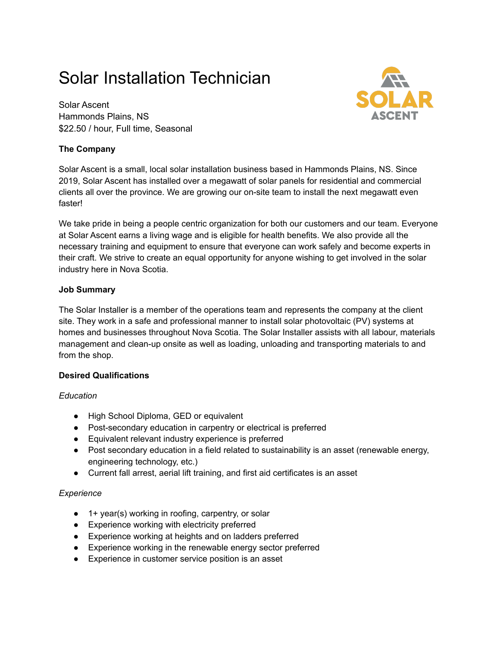# Solar Installation Technician

Solar Ascent Hammonds Plains, NS \$22.50 / hour, Full time, Seasonal

# **The Company**



We take pride in being a people centric organization for both our customers and our team. Everyone at Solar Ascent earns a living wage and is eligible for health benefits. We also provide all the necessary training and equipment to ensure that everyone can work safely and become experts in their craft. We strive to create an equal opportunity for anyone wishing to get involved in the solar industry here in Nova Scotia.

# **Job Summary**

The Solar Installer is a member of the operations team and represents the company at the client site. They work in a safe and professional manner to install solar photovoltaic (PV) systems at homes and businesses throughout Nova Scotia. The Solar Installer assists with all labour, materials management and clean-up onsite as well as loading, unloading and transporting materials to and from the shop.

# **Desired Qualifications**

# *Education*

- High School Diploma, GED or equivalent
- Post-secondary education in carpentry or electrical is preferred
- Equivalent relevant industry experience is preferred
- Post secondary education in a field related to sustainability is an asset (renewable energy, engineering technology, etc.)
- Current fall arrest, aerial lift training, and first aid certificates is an asset

#### *Experience*

- 1+ year(s) working in roofing, carpentry, or solar
- Experience working with electricity preferred
- Experience working at heights and on ladders preferred
- Experience working in the renewable energy sector preferred
- Experience in customer service position is an asset

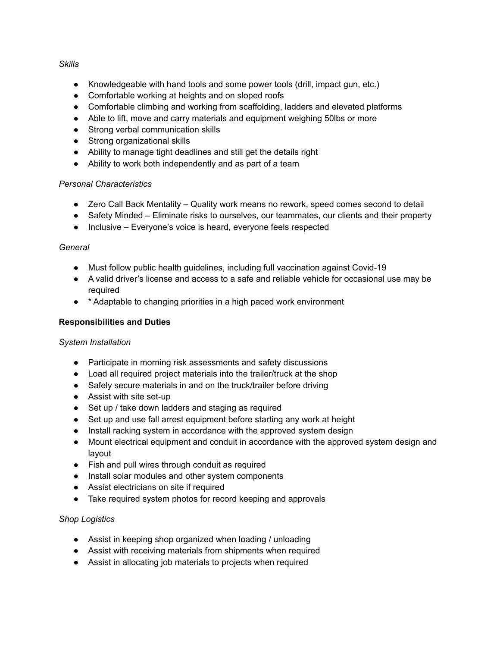#### *Skills*

- Knowledgeable with hand tools and some power tools (drill, impact gun, etc.)
- Comfortable working at heights and on sloped roofs
- Comfortable climbing and working from scaffolding, ladders and elevated platforms
- Able to lift, move and carry materials and equipment weighing 50lbs or more
- Strong verbal communication skills
- Strong organizational skills
- Ability to manage tight deadlines and still get the details right
- Ability to work both independently and as part of a team

#### *Personal Characteristics*

- Zero Call Back Mentality Quality work means no rework, speed comes second to detail
- Safety Minded Eliminate risks to ourselves, our teammates, our clients and their property
- Inclusive Everyone's voice is heard, everyone feels respected

#### *General*

- Must follow public health guidelines, including full vaccination against Covid-19
- A valid driver's license and access to a safe and reliable vehicle for occasional use may be required
- \* Adaptable to changing priorities in a high paced work environment

#### **Responsibilities and Duties**

#### *System Installation*

- Participate in morning risk assessments and safety discussions
- Load all required project materials into the trailer/truck at the shop
- Safely secure materials in and on the truck/trailer before driving
- Assist with site set-up
- Set up / take down ladders and staging as required
- Set up and use fall arrest equipment before starting any work at height
- Install racking system in accordance with the approved system design
- Mount electrical equipment and conduit in accordance with the approved system design and layout
- Fish and pull wires through conduit as required
- Install solar modules and other system components
- Assist electricians on site if required
- Take required system photos for record keeping and approvals

#### *Shop Logistics*

- Assist in keeping shop organized when loading / unloading
- Assist with receiving materials from shipments when required
- Assist in allocating job materials to projects when required